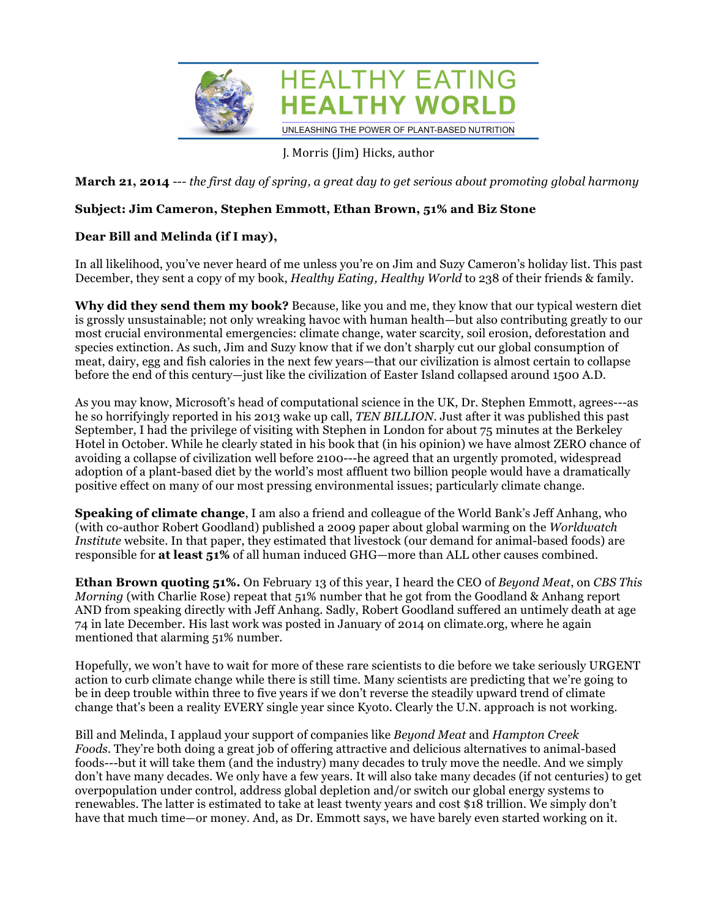

## J. Morris (Jim) Hicks, author

**March 21, 2014** --- *the first day of spring, a great day to get serious about promoting global harmony*

## **Subject: Jim Cameron, Stephen Emmott, Ethan Brown, 51% and Biz Stone**

## **Dear Bill and Melinda (if I may),**

In all likelihood, you've never heard of me unless you're on Jim and Suzy Cameron's holiday list. This past December, they sent a copy of my book, *Healthy Eating, Healthy World* to 238 of their friends & family.

**Why did they send them my book?** Because, like you and me, they know that our typical western diet is grossly unsustainable; not only wreaking havoc with human health—but also contributing greatly to our most crucial environmental emergencies: climate change, water scarcity, soil erosion, deforestation and species extinction. As such, Jim and Suzy know that if we don't sharply cut our global consumption of meat, dairy, egg and fish calories in the next few years—that our civilization is almost certain to collapse before the end of this century—just like the civilization of Easter Island collapsed around 1500 A.D.

As you may know, Microsoft's head of computational science in the UK, Dr. Stephen Emmott, agrees---as he so horrifyingly reported in his 2013 wake up call, *TEN BILLION*. Just after it was published this past September, I had the privilege of visiting with Stephen in London for about 75 minutes at the Berkeley Hotel in October. While he clearly stated in his book that (in his opinion) we have almost ZERO chance of avoiding a collapse of civilization well before 2100---he agreed that an urgently promoted, widespread adoption of a plant-based diet by the world's most affluent two billion people would have a dramatically positive effect on many of our most pressing environmental issues; particularly climate change.

**Speaking of climate change**, I am also a friend and colleague of the World Bank's Jeff Anhang, who (with co-author Robert Goodland) published a 2009 paper about global warming on the *Worldwatch Institute* website. In that paper, they estimated that livestock (our demand for animal-based foods) are responsible for **at least 51%** of all human induced GHG—more than ALL other causes combined.

**Ethan Brown quoting 51%.** On February 13 of this year, I heard the CEO of *Beyond Meat*, on *CBS This Morning* (with Charlie Rose) repeat that 51% number that he got from the Goodland & Anhang report AND from speaking directly with Jeff Anhang. Sadly, Robert Goodland suffered an untimely death at age 74 in late December. His last work was posted in January of 2014 on climate.org, where he again mentioned that alarming 51% number.

Hopefully, we won't have to wait for more of these rare scientists to die before we take seriously URGENT action to curb climate change while there is still time. Many scientists are predicting that we're going to be in deep trouble within three to five years if we don't reverse the steadily upward trend of climate change that's been a reality EVERY single year since Kyoto. Clearly the U.N. approach is not working.

Bill and Melinda, I applaud your support of companies like *Beyond Meat* and *Hampton Creek Foods.* They're both doing a great job of offering attractive and delicious alternatives to animal-based foods---but it will take them (and the industry) many decades to truly move the needle. And we simply don't have many decades. We only have a few years. It will also take many decades (if not centuries) to get overpopulation under control, address global depletion and/or switch our global energy systems to renewables. The latter is estimated to take at least twenty years and cost \$18 trillion. We simply don't have that much time—or money. And, as Dr. Emmott says, we have barely even started working on it.